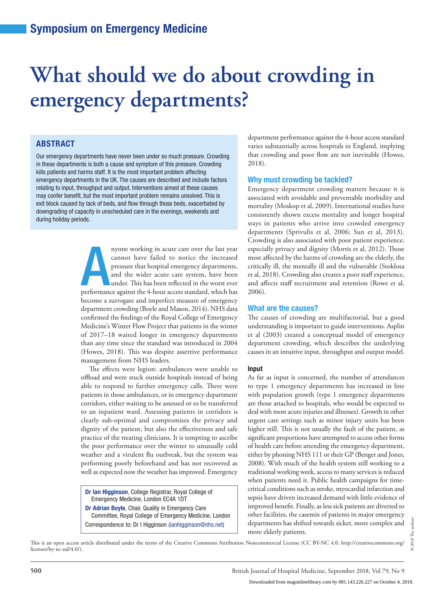# **What should we do about crowding in emergency departments?**

### ABSTRACT

Our emergency departments have never been under so much pressure. Crowding in these departments is both a cause and symptom of this pressure. Crowding kills patients and harms staff. It is the most important problem affecting emergency departments in the UK. The causes are described and include factors relating to input, throughput and output. Interventions aimed at these causes may confer benefit, but the most important problem remains unsolved. This is exit block caused by lack of beds, and flow through those beds, exacerbated by downgrading of capacity in unscheduled care in the evenings, weekends and during holiday periods.

> annot have failed to notice the last year<br>cannot have failed to notice the increased<br>pressure that hospital emergency departments,<br>and the wider acute care system, have been<br>under. This has been reflected in the worst ever nyone working in acute care over the last year cannot have failed to notice the increased pressure that hospital emergency departments, and the wider acute care system, have been under. This has been reflected in the worst ever become a surrogate and imperfect measure of emergency department crowding (Boyle and Mason, 2014). NHS data confirmed the findings of the Royal College of Emergency Medicine's Winter Flow Project that patients in the winter of 2017–18 waited longer in emergency departments than any time since the standard was introduced in 2004 (Howes, 2018). This was despite assertive performance management from NHS leaders.

> The effects were legion: ambulances were unable to offload and were stuck outside hospitals instead of being able to respond to further emergency calls. There were patients in those ambulances, or in emergency department corridors, either waiting to be assessed or to be transferred to an inpatient ward. Assessing patients in corridors is clearly sub-optimal and compromises the privacy and dignity of the patient, but also the effectiveness and safe practice of the treating clinicians. It is tempting to ascribe the poor performance over the winter to unusually cold weather and a virulent flu outbreak, but the system was performing poorly beforehand and has not recovered as well as expected now the weather has improved. Emergency

Dr Ian Higginson, College Registrar, Royal College of Emergency Medicine, London EC4A 1DT Dr Adrian Boyle, Chair, Quality in Emergency Care Committee, Royal College of Emergency Medicine, London Correspondence to: Dr I Higginson (ianhigginson@nhs.net)

department performance against the 4-hour access standard varies substantially across hospitals in England, implying that crowding and poor flow are not inevitable (Howes, 2018).

#### Why must crowding be tackled?

Emergency department crowding matters because it is associated with avoidable and preventable morbidity and mortality (Moskop et al, 2009). International studies have consistently shown excess mortality and longer hospital stays in patients who arrive into crowded emergency departments (Sprivulis et al, 2006; Sun et al, 2013). Crowding is also associated with poor patient experience, especially privacy and dignity (Morris et al, 2012). Those most affected by the harms of crowding are the elderly, the critically ill, the mentally ill and the vulnerable (Stoklosa et al, 2018). Crowding also creates a poor staff experience, and affects staff recruitment and retention (Rowe et al, 2006).

#### What are the causes?

The causes of crowding are multifactorial, but a good understanding is important to guide interventions. Asplin et al (2003) created a conceptual model of emergency department crowding, which describes the underlying causes in an intuitive input, throughput and output model.

#### Input

As far as input is concerned, the number of attendances to type 1 emergency departments has increased in line with population growth (type 1 emergency departments are those attached to hospitals, who would be expected to deal with most acute injuries and illnesses). Growth in other urgent care settings such as minor injury units has been higher still. This is not usually the fault of the patient, as significant proportions have attempted to access other forms of health care before attending the emergency department, either by phoning NHS 111 or their GP (Benger and Jones, 2008). With much of the health system still working to a traditional working week, access to many services is reduced when patients need it. Public health campaigns for timecritical conditions such as stroke, myocardial infarction and sepsis have driven increased demand with little evidence of improved benefit. Finally, as less sick patients are diverted to other facilities, the casemix of patients in major emergency departments has shifted towards sicker, more complex and more elderly patients.

This is an open access article distributed under the terms of the Creative Commons Attribution Noncommercial License (CC BY-NC 4.0, http://creativecommons.org/ licenses/by-nc-nd/4.0/).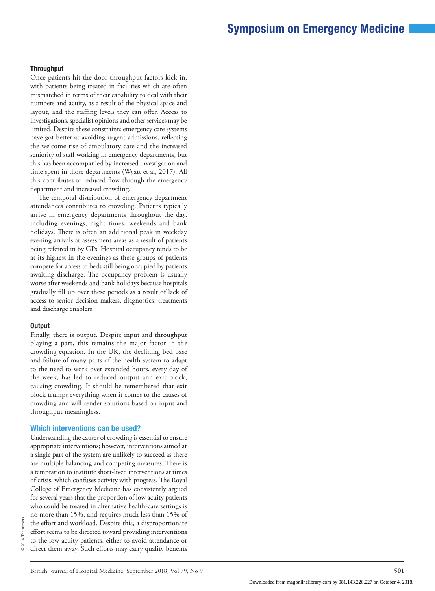#### **Throughput**

Once patients hit the door throughput factors kick in, with patients being treated in facilities which are often mismatched in terms of their capability to deal with their numbers and acuity, as a result of the physical space and layout, and the staffing levels they can offer. Access to investigations, specialist opinions and other services may be limited. Despite these constraints emergency care systems have got better at avoiding urgent admissions, reflecting the welcome rise of ambulatory care and the increased seniority of staff working in emergency departments, but this has been accompanied by increased investigation and time spent in those departments (Wyatt et al, 2017). All this contributes to reduced flow through the emergency department and increased crowding.

The temporal distribution of emergency department attendances contributes to crowding. Patients typically arrive in emergency departments throughout the day, including evenings, night times, weekends and bank holidays. There is often an additional peak in weekday evening arrivals at assessment areas as a result of patients being referred in by GPs. Hospital occupancy tends to be at its highest in the evenings as these groups of patients compete for access to beds still being occupied by patients awaiting discharge. The occupancy problem is usually worse after weekends and bank holidays because hospitals gradually fill up over these periods as a result of lack of access to senior decision makers, diagnostics, treatments and discharge enablers.

#### Output

Finally, there is output. Despite input and throughput playing a part, this remains the major factor in the crowding equation. In the UK, the declining bed base and failure of many parts of the health system to adapt to the need to work over extended hours, every day of the week, has led to reduced output and exit block, causing crowding. It should be remembered that exit block trumps everything when it comes to the causes of crowding and will render solutions based on input and throughput meaningless.

#### Which interventions can be used?

Understanding the causes of crowding is essential to ensure appropriate interventions; however, interventions aimed at a single part of the system are unlikely to succeed as there are multiple balancing and competing measures. There is a temptation to institute short-lived interventions at times of crisis, which confuses activity with progress. The Royal College of Emergency Medicine has consistently argued for several years that the proportion of low acuity patients who could be treated in alternative health-care settings is no more than 15%, and requires much less than 15% of the effort and workload. Despite this, a disproportionate effort seems to be directed toward providing interventions to the low acuity patients, either to avoid attendance or direct them away. Such efforts may carry quality benefits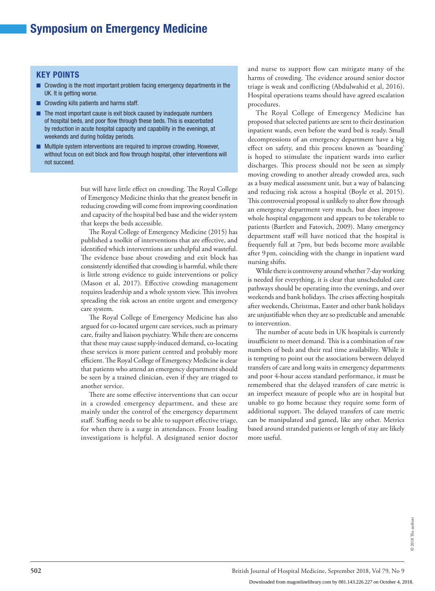#### KEY POINTS

- Crowding is the most important problem facing emergency departments in the UK. It is getting worse.
- Crowding kills patients and harms staff.
- The most important cause is exit block caused by inadequate numbers of hospital beds, and poor flow through these beds. This is exacerbated by reduction in acute hospital capacity and capability in the evenings, at weekends and during holiday periods.
- Multiple system interventions are required to improve crowding. However, without focus on exit block and flow through hospital, other interventions will not succeed.

but will have little effect on crowding. The Royal College of Emergency Medicine thinks that the greatest benefit in reducing crowding will come from improving coordination and capacity of the hospital bed base and the wider system that keeps the beds accessible.

The Royal College of Emergency Medicine (2015) has published a toolkit of interventions that are effective, and identified which interventions are unhelpful and wasteful. The evidence base about crowding and exit block has consistently identified that crowding is harmful, while there is little strong evidence to guide interventions or policy (Mason et al, 2017). Effective crowding management requires leadership and a whole system view. This involves spreading the risk across an entire urgent and emergency care system.

The Royal College of Emergency Medicine has also argued for co-located urgent care services, such as primary care, frailty and liaison psychiatry. While there are concerns that these may cause supply-induced demand, co-locating these services is more patient centred and probably more efficient. The Royal College of Emergency Medicine is clear that patients who attend an emergency department should be seen by a trained clinician, even if they are triaged to another service.

There are some effective interventions that can occur in a crowded emergency department, and these are mainly under the control of the emergency department staff. Staffing needs to be able to support effective triage, for when there is a surge in attendances. Front loading investigations is helpful. A designated senior doctor and nurse to support flow can mitigate many of the harms of crowding. The evidence around senior doctor triage is weak and conflicting (Abdulwahid et al, 2016). Hospital operations teams should have agreed escalation procedures.

The Royal College of Emergency Medicine has proposed that selected patients are sent to their destination inpatient wards, even before the ward bed is ready. Small decompressions of an emergency department have a big effect on safety, and this process known as 'boarding' is hoped to stimulate the inpatient wards into earlier discharges. This process should not be seen as simply moving crowding to another already crowded area, such as a busy medical assessment unit, but a way of balancing and reducing risk across a hospital (Boyle et al, 2015). This controversial proposal is unlikely to alter flow through an emergency department very much, but does improve whole hospital engagement and appears to be tolerable to patients (Bartlett and Fatovich, 2009). Many emergency department staff will have noticed that the hospital is frequently full at 7pm, but beds become more available after 9pm, coinciding with the change in inpatient ward nursing shifts.

While there is controversy around whether 7-day working is needed for everything, it is clear that unscheduled care pathways should be operating into the evenings, and over weekends and bank holidays. The crises affecting hospitals after weekends, Christmas, Easter and other bank holidays are unjustifiable when they are so predictable and amenable to intervention.

The number of acute beds in UK hospitals is currently insufficient to meet demand. This is a combination of raw numbers of beds and their real time availability. While it is tempting to point out the associations between delayed transfers of care and long waits in emergency departments and poor 4-hour access standard performance, it must be remembered that the delayed transfers of care metric is an imperfect measure of people who are in hospital but unable to go home because they require some form of additional support. The delayed transfers of care metric can be manipulated and gamed, like any other. Metrics based around stranded patients or length of stay are likely more useful.